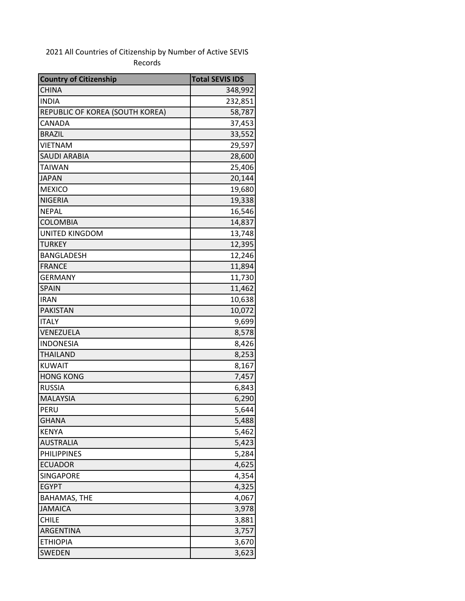## 2021 All Countries of Citizenship by Number of Active SEVIS Records

| <b>Country of Citizenship</b>   | <b>Total SEVIS IDS</b> |
|---------------------------------|------------------------|
| <b>CHINA</b>                    | 348,992                |
| <b>INDIA</b>                    | 232,851                |
| REPUBLIC OF KOREA (SOUTH KOREA) | 58,787                 |
| CANADA                          | 37,453                 |
| <b>BRAZIL</b>                   | 33,552                 |
| <b>VIETNAM</b>                  | 29,597                 |
| <b>SAUDI ARABIA</b>             | 28,600                 |
| <b>TAIWAN</b>                   | 25,406                 |
| <b>JAPAN</b>                    | 20,144                 |
| <b>MEXICO</b>                   | 19,680                 |
| <b>NIGERIA</b>                  | 19,338                 |
| <b>NEPAL</b>                    | 16,546                 |
| <b>COLOMBIA</b>                 | 14,837                 |
| UNITED KINGDOM                  | 13,748                 |
| <b>TURKEY</b>                   | 12,395                 |
| <b>BANGLADESH</b>               | 12,246                 |
| <b>FRANCE</b>                   | 11,894                 |
| <b>GERMANY</b>                  | 11,730                 |
| <b>SPAIN</b>                    | 11,462                 |
| <b>IRAN</b>                     | 10,638                 |
| <b>PAKISTAN</b>                 | 10,072                 |
| <b>ITALY</b>                    | 9,699                  |
| VENEZUELA                       | 8,578                  |
| <b>INDONESIA</b>                | 8,426                  |
| <b>THAILAND</b>                 | 8,253                  |
| <b>KUWAIT</b>                   | 8,167                  |
| <b>HONG KONG</b>                | 7,457                  |
| <b>RUSSIA</b>                   | 6,843                  |
| <b>MALAYSIA</b>                 | 6,290                  |
| PERU                            | 5,644                  |
| <b>GHANA</b>                    | 5,488                  |
| <b>KENYA</b>                    | 5,462                  |
| <b>AUSTRALIA</b>                | 5,423                  |
| <b>PHILIPPINES</b>              | 5,284                  |
| <b>ECUADOR</b>                  | 4,625                  |
| <b>SINGAPORE</b>                | 4,354                  |
| <b>EGYPT</b>                    | 4,325                  |
| <b>BAHAMAS, THE</b>             | 4,067                  |
| <b>JAMAICA</b>                  | 3,978                  |
| <b>CHILE</b>                    | 3,881                  |
| ARGENTINA                       | 3,757                  |
| <b>ETHIOPIA</b>                 | 3,670                  |
| SWEDEN                          | 3,623                  |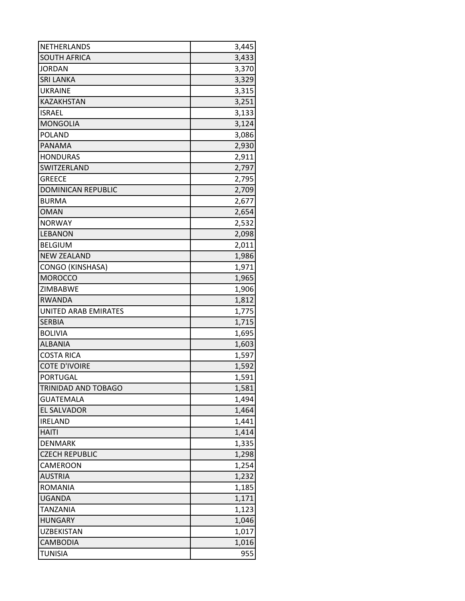| <b>NETHERLANDS</b>        | 3,445 |
|---------------------------|-------|
| <b>SOUTH AFRICA</b>       | 3,433 |
| <b>JORDAN</b>             | 3,370 |
| <b>SRI LANKA</b>          | 3,329 |
| <b>UKRAINE</b>            | 3,315 |
| KAZAKHSTAN                | 3,251 |
| <b>ISRAEL</b>             | 3,133 |
| <b>MONGOLIA</b>           | 3,124 |
| <b>POLAND</b>             | 3,086 |
| <b>PANAMA</b>             | 2,930 |
| <b>HONDURAS</b>           | 2,911 |
| SWITZERLAND               | 2,797 |
| <b>GREECE</b>             | 2,795 |
| <b>DOMINICAN REPUBLIC</b> | 2,709 |
| <b>BURMA</b>              | 2,677 |
| <b>OMAN</b>               | 2,654 |
| <b>NORWAY</b>             | 2,532 |
| <b>LEBANON</b>            | 2,098 |
| <b>BELGIUM</b>            | 2,011 |
| <b>NEW ZEALAND</b>        | 1,986 |
| <b>CONGO (KINSHASA)</b>   | 1,971 |
| <b>MOROCCO</b>            | 1,965 |
| ZIMBABWE                  | 1,906 |
| <b>RWANDA</b>             | 1,812 |
| UNITED ARAB EMIRATES      | 1,775 |
| <b>SERBIA</b>             | 1,715 |
| <b>BOLIVIA</b>            | 1,695 |
| <b>ALBANIA</b>            | 1,603 |
| <b>COSTA RICA</b>         | 1,597 |
| <b>COTE D'IVOIRE</b>      | 1,592 |
| <b>PORTUGAL</b>           | 1,591 |
| TRINIDAD AND TOBAGO       | 1,581 |
| <b>GUATEMALA</b>          | 1,494 |
| <b>EL SALVADOR</b>        | 1,464 |
| <b>IRELAND</b>            | 1,441 |
| <b>HAITI</b>              | 1,414 |
| <b>DENMARK</b>            | 1,335 |
| <b>CZECH REPUBLIC</b>     | 1,298 |
| CAMEROON                  | 1,254 |
| <b>AUSTRIA</b>            | 1,232 |
| <b>ROMANIA</b>            | 1,185 |
| <b>UGANDA</b>             | 1,171 |
| <b>TANZANIA</b>           | 1,123 |
| <b>HUNGARY</b>            | 1,046 |
| <b>UZBEKISTAN</b>         | 1,017 |
| CAMBODIA                  | 1,016 |
| <b>TUNISIA</b>            | 955   |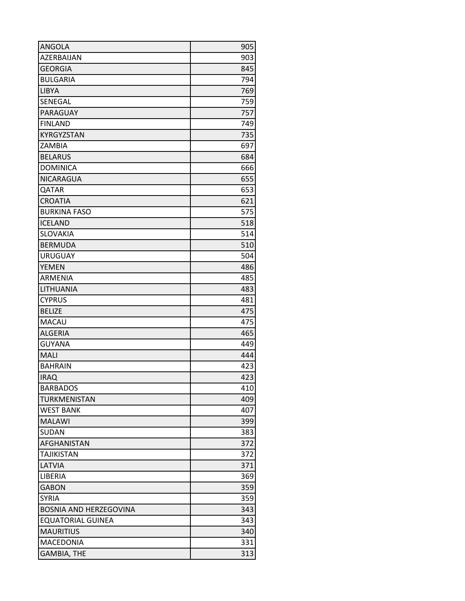| ANGOLA                        | 905 |
|-------------------------------|-----|
| AZERBAIJAN                    | 903 |
| <b>GEORGIA</b>                | 845 |
| <b>BULGARIA</b>               | 794 |
| <b>LIBYA</b>                  | 769 |
| SENEGAL                       | 759 |
| PARAGUAY                      | 757 |
| <b>FINLAND</b>                | 749 |
| <b>KYRGYZSTAN</b>             | 735 |
| ZAMBIA                        | 697 |
| <b>BELARUS</b>                | 684 |
| <b>DOMINICA</b>               | 666 |
| NICARAGUA                     | 655 |
| QATAR                         | 653 |
| <b>CROATIA</b>                | 621 |
| <b>BURKINA FASO</b>           | 575 |
| <b>ICELAND</b>                | 518 |
| <b>SLOVAKIA</b>               | 514 |
| <b>BERMUDA</b>                | 510 |
| <b>URUGUAY</b>                | 504 |
| <b>YEMEN</b>                  | 486 |
| ARMENIA                       | 485 |
| LITHUANIA                     | 483 |
| <b>CYPRUS</b>                 | 481 |
| <b>BELIZE</b>                 | 475 |
| <b>MACAU</b>                  | 475 |
| <b>ALGERIA</b>                | 465 |
| <b>GUYANA</b>                 | 449 |
| MALI                          | 444 |
| <b>BAHRAIN</b>                | 423 |
| <b>IRAQ</b>                   | 423 |
| <b>BARBADOS</b>               | 410 |
| TURKMENISTAN                  | 409 |
| <b>WEST BANK</b>              | 407 |
| <b>MALAWI</b>                 | 399 |
| SUDAN                         | 383 |
| <b>AFGHANISTAN</b>            | 372 |
| <b>TAJIKISTAN</b>             | 372 |
| LATVIA                        | 371 |
| LIBERIA                       | 369 |
| <b>GABON</b>                  | 359 |
| <b>SYRIA</b>                  | 359 |
| <b>BOSNIA AND HERZEGOVINA</b> | 343 |
| <b>EQUATORIAL GUINEA</b>      | 343 |
| <b>MAURITIUS</b>              | 340 |
| <b>MACEDONIA</b>              | 331 |
| <b>GAMBIA, THE</b>            | 313 |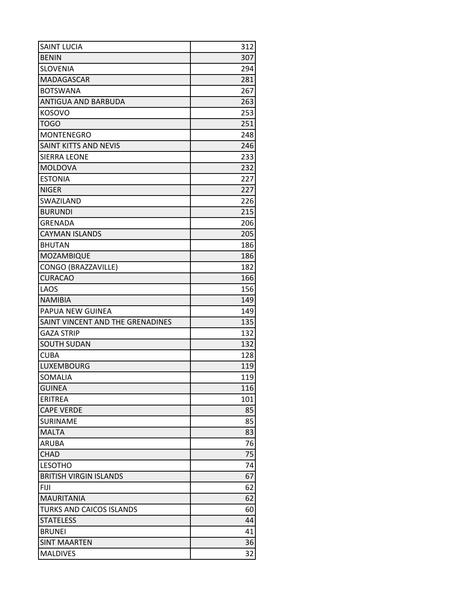| <b>SAINT LUCIA</b>               | 312 |
|----------------------------------|-----|
| <b>BENIN</b>                     | 307 |
| <b>SLOVENIA</b>                  | 294 |
| <b>MADAGASCAR</b>                | 281 |
| <b>BOTSWANA</b>                  | 267 |
| ANTIGUA AND BARBUDA              | 263 |
| <b>KOSOVO</b>                    | 253 |
| <b>TOGO</b>                      | 251 |
| <b>MONTENEGRO</b>                | 248 |
| <b>SAINT KITTS AND NEVIS</b>     | 246 |
| <b>SIERRA LEONE</b>              | 233 |
| <b>MOLDOVA</b>                   | 232 |
| <b>ESTONIA</b>                   | 227 |
| <b>NIGER</b>                     | 227 |
| SWAZILAND                        | 226 |
| <b>BURUNDI</b>                   | 215 |
| <b>GRENADA</b>                   | 206 |
| <b>CAYMAN ISLANDS</b>            | 205 |
| <b>BHUTAN</b>                    | 186 |
| MOZAMBIQUE                       | 186 |
| CONGO (BRAZZAVILLE)              | 182 |
| <b>CURACAO</b>                   | 166 |
| LAOS                             | 156 |
| <b>NAMIBIA</b>                   | 149 |
| PAPUA NEW GUINEA                 | 149 |
| SAINT VINCENT AND THE GRENADINES | 135 |
| <b>GAZA STRIP</b>                | 132 |
| <b>SOUTH SUDAN</b>               | 132 |
| <b>CUBA</b>                      | 128 |
| LUXEMBOURG                       | 119 |
| SOMALIA                          | 119 |
| <b>GUINEA</b>                    | 116 |
| <b>ERITREA</b>                   | 101 |
| <b>CAPE VERDE</b>                | 85  |
| <b>SURINAME</b>                  | 85  |
| <b>MALTA</b>                     | 83  |
| <b>ARUBA</b>                     | 76  |
| <b>CHAD</b>                      | 75  |
| <b>LESOTHO</b>                   | 74  |
| <b>BRITISH VIRGIN ISLANDS</b>    | 67  |
| <b>FIJI</b>                      | 62  |
| <b>MAURITANIA</b>                | 62  |
| <b>TURKS AND CAICOS ISLANDS</b>  | 60  |
| <b>STATELESS</b>                 | 44  |
| <b>BRUNEI</b>                    | 41  |
| <b>SINT MAARTEN</b>              | 36  |
| <b>MALDIVES</b>                  | 32  |